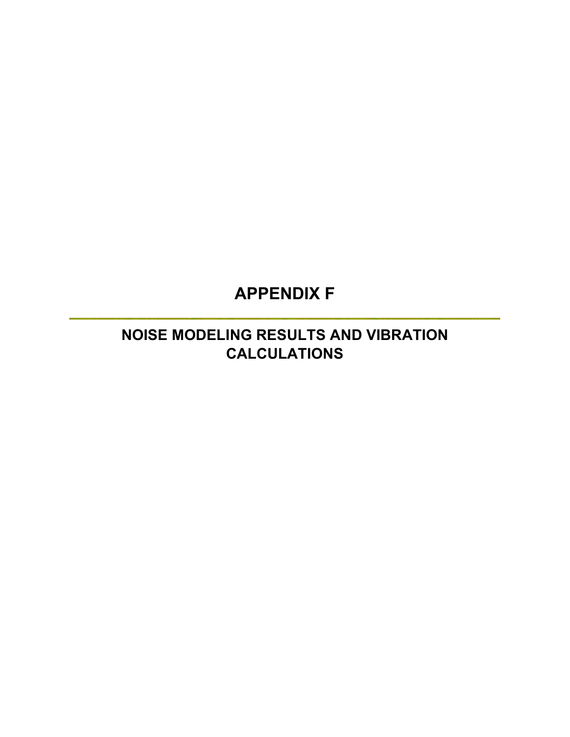# **APPENDIX F**

## **NOISE MODELING RESULTS AND VIBRATION CALCULATIONS**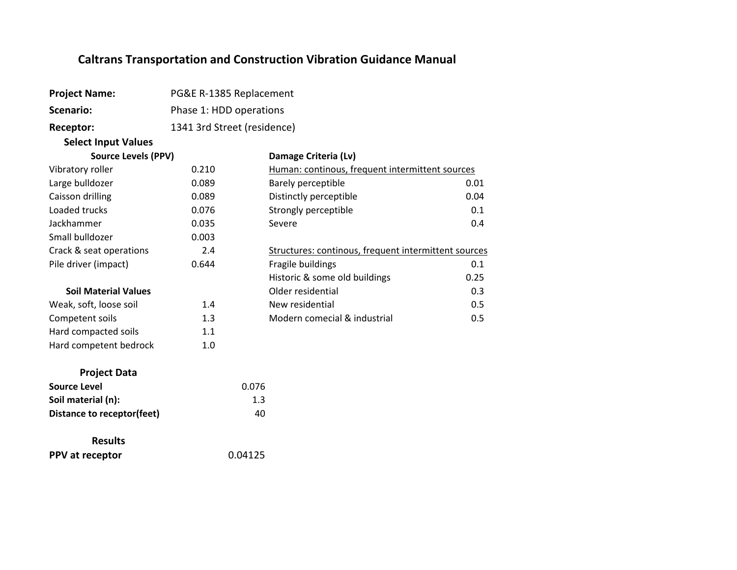| <b>Project Name:</b>              | PG&E R-1385 Replacement     |                                                      |      |
|-----------------------------------|-----------------------------|------------------------------------------------------|------|
| <b>Scenario:</b>                  | Phase 1: HDD operations     |                                                      |      |
| Receptor:                         | 1341 3rd Street (residence) |                                                      |      |
| <b>Select Input Values</b>        |                             |                                                      |      |
| <b>Source Levels (PPV)</b>        |                             | Damage Criteria (Lv)                                 |      |
| Vibratory roller                  | 0.210                       | Human: continous, frequent intermittent sources      |      |
| Large bulldozer                   | 0.089                       | Barely perceptible                                   | 0.01 |
| Caisson drilling                  | 0.089                       | Distinctly perceptible                               | 0.04 |
| Loaded trucks                     | 0.076                       | Strongly perceptible                                 | 0.1  |
| Jackhammer                        | 0.035                       | Severe                                               | 0.4  |
| Small bulldozer                   | 0.003                       |                                                      |      |
| Crack & seat operations           | 2.4                         | Structures: continous, frequent intermittent sources |      |
| Pile driver (impact)              | 0.644                       | Fragile buildings                                    | 0.1  |
|                                   |                             | Historic & some old buildings                        | 0.25 |
| <b>Soil Material Values</b>       |                             | Older residential                                    | 0.3  |
| Weak, soft, loose soil            | 1.4                         | New residential                                      | 0.5  |
| Competent soils                   | 1.3                         | Modern comecial & industrial                         | 0.5  |
| Hard compacted soils              | 1.1                         |                                                      |      |
| Hard competent bedrock            | 1.0                         |                                                      |      |
| <b>Project Data</b>               |                             |                                                      |      |
| <b>Source Level</b>               |                             | 0.076                                                |      |
| Soil material (n):                |                             | 1.3                                                  |      |
| <b>Distance to receptor(feet)</b> |                             | 40                                                   |      |
| <b>Results</b>                    |                             |                                                      |      |
| PPV at receptor                   |                             | 0.04125                                              |      |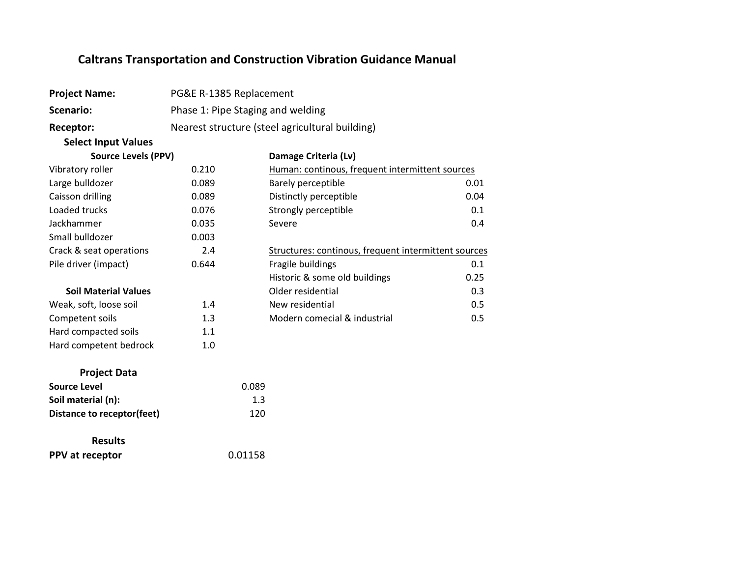| <b>Project Name:</b>              | PG&E R-1385 Replacement |                                                      |      |
|-----------------------------------|-------------------------|------------------------------------------------------|------|
| Scenario:                         |                         | Phase 1: Pipe Staging and welding                    |      |
| Receptor:                         |                         | Nearest structure (steel agricultural building)      |      |
| <b>Select Input Values</b>        |                         |                                                      |      |
| <b>Source Levels (PPV)</b>        |                         | Damage Criteria (Lv)                                 |      |
| Vibratory roller                  | 0.210                   | Human: continous, frequent intermittent sources      |      |
| Large bulldozer                   | 0.089                   | Barely perceptible                                   | 0.01 |
| Caisson drilling                  | 0.089                   | Distinctly perceptible                               | 0.04 |
| Loaded trucks                     | 0.076                   | Strongly perceptible                                 | 0.1  |
| Jackhammer                        | 0.035                   | Severe                                               | 0.4  |
| Small bulldozer                   | 0.003                   |                                                      |      |
| Crack & seat operations           | 2.4                     | Structures: continous, frequent intermittent sources |      |
| Pile driver (impact)              | 0.644                   | Fragile buildings                                    | 0.1  |
|                                   |                         | Historic & some old buildings                        | 0.25 |
| <b>Soil Material Values</b>       |                         | Older residential                                    | 0.3  |
| Weak, soft, loose soil            | 1.4                     | New residential                                      | 0.5  |
| Competent soils                   | 1.3                     | Modern comecial & industrial                         | 0.5  |
| Hard compacted soils              | 1.1                     |                                                      |      |
| Hard competent bedrock            | 1.0                     |                                                      |      |
| <b>Project Data</b>               |                         |                                                      |      |
| <b>Source Level</b>               |                         | 0.089                                                |      |
| Soil material (n):                |                         | 1.3                                                  |      |
| <b>Distance to receptor(feet)</b> |                         | 120                                                  |      |
| <b>Results</b>                    |                         |                                                      |      |
| PPV at receptor                   |                         | 0.01158                                              |      |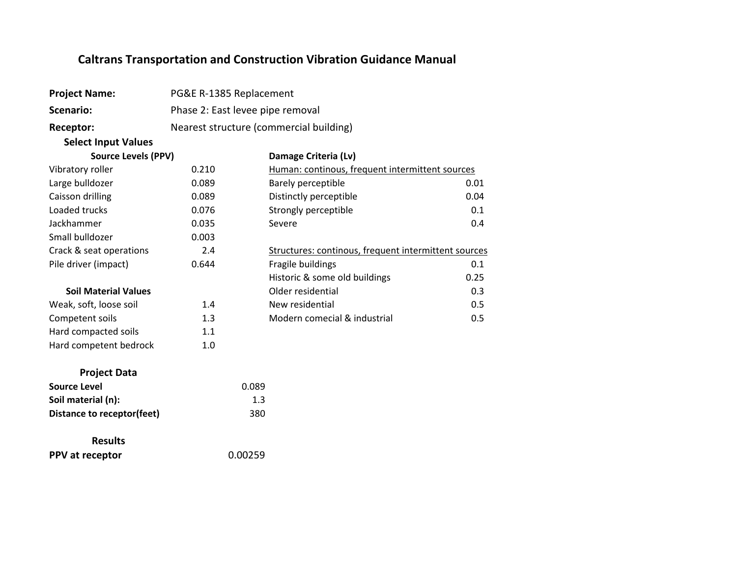| <b>Project Name:</b>              | PG&E R-1385 Replacement |                                                      |      |
|-----------------------------------|-------------------------|------------------------------------------------------|------|
| Scenario:                         |                         | Phase 2: East levee pipe removal                     |      |
| Receptor:                         |                         | Nearest structure (commercial building)              |      |
| <b>Select Input Values</b>        |                         |                                                      |      |
| <b>Source Levels (PPV)</b>        |                         | Damage Criteria (Lv)                                 |      |
| Vibratory roller                  | 0.210                   | Human: continous, frequent intermittent sources      |      |
| Large bulldozer                   | 0.089                   | Barely perceptible                                   | 0.01 |
| Caisson drilling                  | 0.089                   | Distinctly perceptible                               | 0.04 |
| Loaded trucks                     | 0.076                   | Strongly perceptible                                 | 0.1  |
| Jackhammer                        | 0.035                   | Severe                                               | 0.4  |
| Small bulldozer                   | 0.003                   |                                                      |      |
| Crack & seat operations           | 2.4                     | Structures: continous, frequent intermittent sources |      |
| Pile driver (impact)              | 0.644                   | Fragile buildings                                    | 0.1  |
|                                   |                         | Historic & some old buildings                        | 0.25 |
| <b>Soil Material Values</b>       |                         | Older residential                                    | 0.3  |
| Weak, soft, loose soil            | 1.4                     | New residential                                      | 0.5  |
| Competent soils                   | 1.3                     | Modern comecial & industrial                         | 0.5  |
| Hard compacted soils              | 1.1                     |                                                      |      |
| Hard competent bedrock            | 1.0                     |                                                      |      |
| <b>Project Data</b>               |                         |                                                      |      |
| <b>Source Level</b>               |                         | 0.089                                                |      |
| Soil material (n):                |                         | 1.3                                                  |      |
| <b>Distance to receptor(feet)</b> |                         | 380                                                  |      |
| <b>Results</b>                    |                         |                                                      |      |
| PPV at receptor                   |                         | 0.00259                                              |      |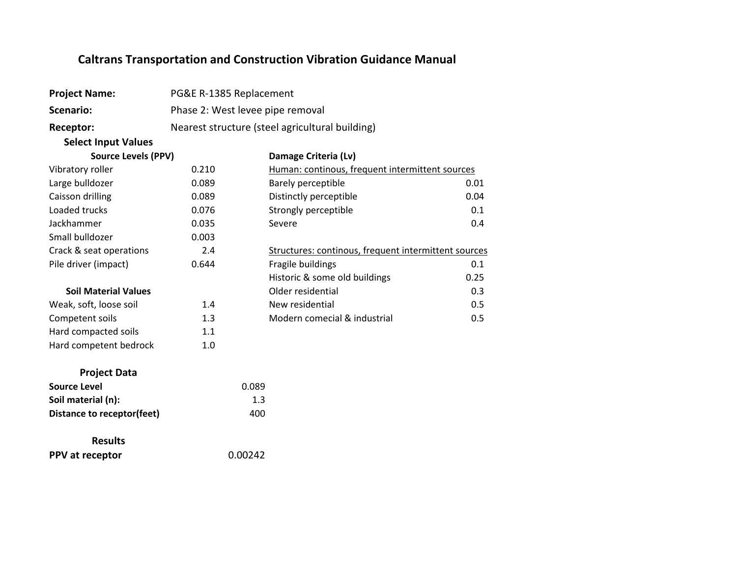| <b>Project Name:</b>        | PG&E R-1385 Replacement |                                                      |      |
|-----------------------------|-------------------------|------------------------------------------------------|------|
| <b>Scenario:</b>            |                         | Phase 2: West levee pipe removal                     |      |
| Receptor:                   |                         | Nearest structure (steel agricultural building)      |      |
| <b>Select Input Values</b>  |                         |                                                      |      |
| <b>Source Levels (PPV)</b>  |                         | Damage Criteria (Lv)                                 |      |
| Vibratory roller            | 0.210                   | Human: continous, frequent intermittent sources      |      |
| Large bulldozer             | 0.089                   | Barely perceptible                                   | 0.01 |
| Caisson drilling            | 0.089                   | Distinctly perceptible                               | 0.04 |
| Loaded trucks               | 0.076                   | Strongly perceptible                                 | 0.1  |
| Jackhammer                  | 0.035                   | Severe                                               | 0.4  |
| Small bulldozer             | 0.003                   |                                                      |      |
| Crack & seat operations     | 2.4                     | Structures: continous, frequent intermittent sources |      |
| Pile driver (impact)        | 0.644                   | Fragile buildings                                    | 0.1  |
|                             |                         | Historic & some old buildings                        | 0.25 |
| <b>Soil Material Values</b> |                         | Older residential                                    | 0.3  |
| Weak, soft, loose soil      | 1.4                     | New residential                                      | 0.5  |
| Competent soils             | 1.3                     | Modern comecial & industrial                         | 0.5  |
| Hard compacted soils        | 1.1                     |                                                      |      |
| Hard competent bedrock      | 1.0                     |                                                      |      |
| <b>Project Data</b>         |                         |                                                      |      |
| <b>Source Level</b>         |                         | 0.089                                                |      |
| Soil material (n):          |                         | 1.3                                                  |      |
| Distance to receptor(feet)  |                         | 400                                                  |      |
| <b>Results</b>              |                         |                                                      |      |
| PPV at receptor             |                         | 0.00242                                              |      |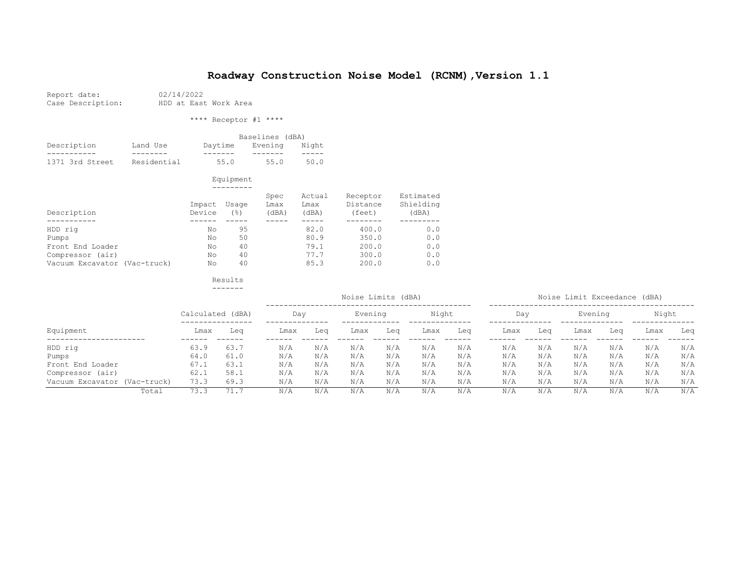| Report date:      |  | 02/14/2022  |
|-------------------|--|-------------|
| Case Description: |  | HDD at East |

HDD at East Work Area

\*\*\*\* Receptor #1 \*\*\*\*

|                 |             |         | Baselines (dBA) |       |
|-----------------|-------------|---------|-----------------|-------|
| Description     | Land Use    | Davtime | Evening         | Night |
|                 |             |         |                 |       |
| 1371 3rd Street | Residential | 55.0    | 55.0            | 50.0  |

 Equipment ---------

| Description                  | Impact<br>Device | Usage<br>(응) | Spec<br>Lmax<br>(dBA) | Actual<br>Lmax<br>(dBA) | Receptor<br>Distance<br>(feet) | Estimated<br>Shielding<br>(dBA) |
|------------------------------|------------------|--------------|-----------------------|-------------------------|--------------------------------|---------------------------------|
|                              |                  |              |                       |                         |                                |                                 |
| HDD rig                      | No               | 95           |                       | 82.0                    | 400.0                          | 0.0                             |
| Pumps                        | No               | 50           |                       | 80.9                    | 350.0                          | 0.0                             |
| Front End Loader             | No               | 40           |                       | 79.1                    | 200.0                          | 0.0                             |
| Compressor (air)             | No               | 40           |                       | 77.7                    | 300.0                          | 0.0                             |
| Vacuum Excavator (Vac-truck) | No               | 40           |                       | 85.3                    | 200.0                          | 0.0                             |

|                              |                  |      |      |     | Noise Limits (dBA) |     |       |     |      |     | Noise Limit Exceedance (dBA) |     |       |     |
|------------------------------|------------------|------|------|-----|--------------------|-----|-------|-----|------|-----|------------------------------|-----|-------|-----|
|                              | Calculated (dBA) |      | Dav  |     | Evening            |     | Night |     | Day  |     | Evening                      |     | Night |     |
| Equipment                    | Lmax             | Lea  | Lmax | Lea | Lmax               | Lea | Lmax  | Lea | Lmax | Leq | Lmax                         | Lea | Lmax  | Leq |
| HDD rig                      | 63.9             | 63.7 | N/A  | N/A | N/A                | N/A | N/A   | N/A | N/A  | N/A | N/A                          | N/A | N/A   | N/A |
| Pumps                        | 64.0             | 61.0 | N/A  | N/A | N/A                | N/A | N/A   | N/A | N/A  | N/A | N/A                          | N/A | N/A   | N/A |
| Front End Loader             | 67.1             | 63.1 | N/A  | N/A | N/A                | N/A | N/A   | N/A | N/A  | N/A | N/A                          | N/A | N/A   | N/A |
| Compressor (air)             | 62.1             | 58.1 | N/A  | N/A | N/A                | N/A | N/A   | N/A | N/A  | N/A | N/A                          | N/A | N/A   | N/A |
| Vacuum Excavator (Vac-truck) | 73.3             | 69.3 | N/A  | N/A | N/A                | N/A | N/A   | N/A | N/A  | N/A | N/A                          | N/A | N/A   | N/A |
| Total                        | 73.3             | 71.1 | N/A  | N/A | N/A                | N/A | N/A   | N/A | N/A  | N/A | N/A                          | N/A | N/A   | N/A |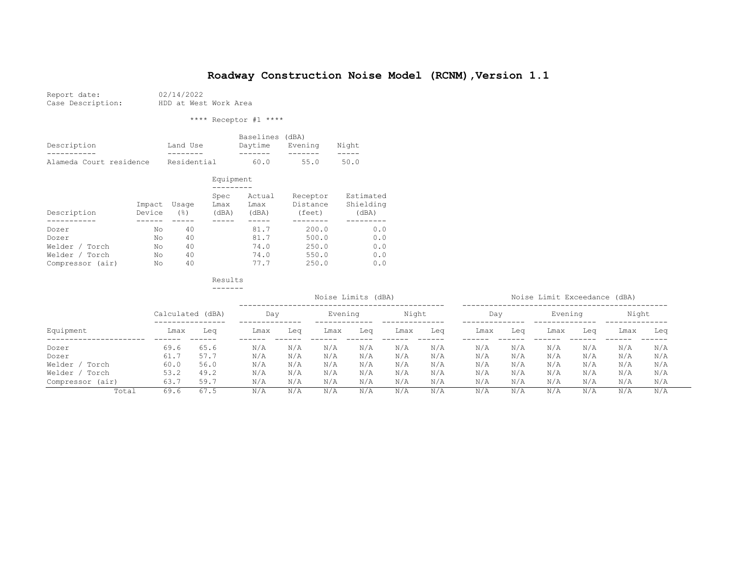| Report date:                 |
|------------------------------|
| $O2 < 0 < 0 < 0 < 1 < 1 < 1$ |

02/14/2022 Case Description: HDD at West Work Area

\*\*\*\* Receptor #1 \*\*\*\*

|                         |             | Baselines (dBA) |         |       |
|-------------------------|-------------|-----------------|---------|-------|
| Description             | Land Use    | Davtime         | Evenina | Niaht |
|                         |             |                 |         |       |
| Alameda Court residence | Residential | 60. Q           | 55.0    | 50.0  |

 Equipment ---------

| Description                              | Impact<br>Device | Usage<br>' 응 ) | Spec<br>Lmax<br>(dBA) | Actual<br>Lmax<br>(dBA) | Receptor<br>Distance<br>(feet) | Estimated<br>Shielding<br>(dBA) |
|------------------------------------------|------------------|----------------|-----------------------|-------------------------|--------------------------------|---------------------------------|
| Dozer                                    | Νo               | 40<br>40       |                       | 81.7<br>81.7            | 200.0<br>500.0                 | 0.0<br>0.0                      |
| Dozer<br>Welder /<br>Torch               | Νo<br>No         | 40             |                       | 74.0                    | 250.0                          | 0.0                             |
| Torch<br>Welder /<br>Compressor<br>(air) | Nο<br>Νo         | 40<br>40       |                       | 74.0<br>77.7            | 550.0<br>250.0                 | 0.0<br>0.0                      |

|                   |                  |      | Noise Limits (dBA) |     |         |     |       |     | Noise Limit Exceedance (dBA) |     |         |     |       |     |
|-------------------|------------------|------|--------------------|-----|---------|-----|-------|-----|------------------------------|-----|---------|-----|-------|-----|
|                   | Calculated (dBA) |      | Day                |     | Evening |     | Night |     | Day                          |     | Evening |     | Night |     |
| Equipment         | Lmax             | Lea  | Lmax               | Lea | Lmax    | Lea | Lmax  | Lea | Lmax                         | Lea | Lmax    | Lea | Lmax  | Leq |
| Dozer             | 69.6             | 65.6 | N/A                | N/A | N/A     | N/A | N/A   | N/A | N/A                          | N/A | N/A     | N/A | N/A   | N/A |
| Dozer             | 61.7             | 57.7 | N/A                | N/A | N/A     | N/A | N/A   | N/A | N/A                          | N/A | N/A     | N/A | N/A   | N/A |
| Welder /<br>Torch | 60.0             | 56.0 | N/A                | N/A | N/A     | N/A | N/A   | N/A | N/A                          | N/A | N/A     | N/A | N/A   | N/A |
| Welder /<br>Torch | 53.2             | 49.2 | N/A                | N/A | N/A     | N/A | N/A   | N/A | N/A                          | N/A | N/A     | N/A | N/A   | N/A |
| Compressor (air)  | 63.7             | 59.7 | N/A                | N/A | N/A     | N/A | N/A   | N/A | N/A                          | N/A | N/A     | N/A | N/A   | N/A |
| Total             | 69.6             | 67.5 | N/A                | N/A | N/A     | N/A | N/A   | N/A | N/A                          | N/A | N/A     | N/A | N/A   | N/A |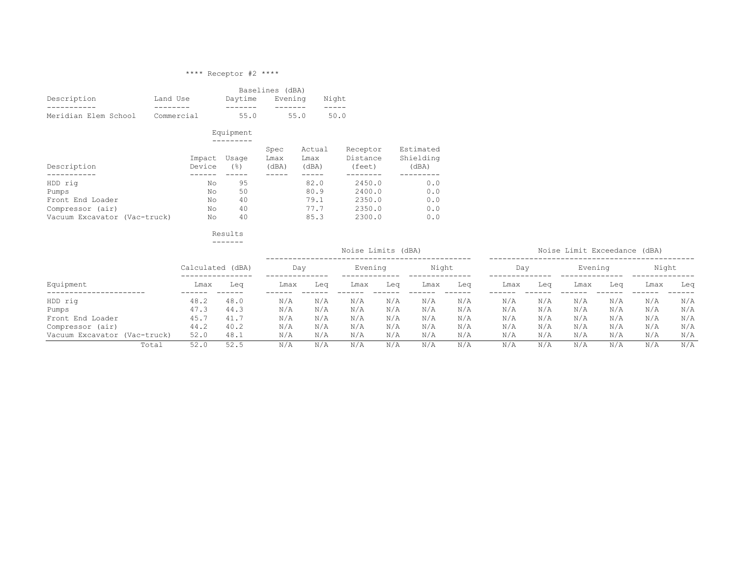#### \*\*\*\* Receptor #2 \*\*\*\*

|                                                                                          |                            |                            | Baselines (dBA)       |                                      |                                                |                                 |
|------------------------------------------------------------------------------------------|----------------------------|----------------------------|-----------------------|--------------------------------------|------------------------------------------------|---------------------------------|
| Description                                                                              | Land Use                   | Daytime                    | Evening               |                                      | Night                                          |                                 |
| Meridian Elem School                                                                     | Commercial                 | 55.0                       | 55.0                  |                                      | 50.0                                           |                                 |
|                                                                                          |                            | Equipment                  |                       |                                      |                                                |                                 |
| Description                                                                              | Impact<br>Device           | Usage<br>$($ $\hat{ }$ $)$ | Spec<br>Lmax<br>(dBA) | Actual<br>Lmax<br>(dBA)              | Receptor<br>Distance<br>(feet)                 | Estimated<br>Shielding<br>(dBA) |
| HDD rig<br>Pumps<br>Front End Loader<br>Compressor (air)<br>Vacuum Excavator (Vac-truck) | No<br>No<br>No<br>No<br>No | 95<br>50<br>40<br>40<br>40 |                       | 82.0<br>80.9<br>79.1<br>77.7<br>85.3 | 2450.0<br>2400.0<br>2350.0<br>2350.0<br>2300.0 | 0.0<br>0.0<br>0.0<br>0.0<br>0.0 |

Results<br>-------

-------

Noise Limits (dBA) Noise Limit Exceedance (dBA)

|                              |      | Calculated (dBA) | Day  |     | Evening |     | Night |     | Day  |     | Evening |     | Night |     |
|------------------------------|------|------------------|------|-----|---------|-----|-------|-----|------|-----|---------|-----|-------|-----|
| Equipment                    | Lmax | Lea              | Lmax | Lea | Lmax    | Lea | Lmax  | Lea | Lmax | Lea | Lmax    | Lea | Lmax  | Leq |
| HDD rig                      | 48.2 | 48.0             | N/A  | N/A | N/A     | N/A | N/A   | N/A | N/A  | N/A | N/A     | N/A | N/A   | N/A |
| Pumps                        | 47.3 | 44.3             | N/A  | N/A | N/A     | N/A | N/A   | N/A | N/A  | N/A | N/A     | N/A | N/A   | N/A |
| Front End Loader             | 45.7 | 41.7             | N/A  | N/A | N/A     | N/A | N/A   | N/A | N/A  | N/A | N/A     | N/A | N/A   | N/A |
| Compressor (air)             | 44.2 | 40.2             | N/A  | N/A | N/A     | N/A | N/A   | N/A | N/A  | N/A | N/A     | N/A | N/A   | N/A |
| Vacuum Excavator (Vac-truck) | 52.0 | 48.1             | N/A  | N/A | N/A     | N/A | N/A   | N/A | N/A  | N/A | N/A     | N/A | N/A   | N/A |
| Total                        | 52.0 | 52.5             | N/A  | N/A | N/A     | N/A | N/A   | N/A | N/A  | N/A | N/A     | N/A | N/A   | N/A |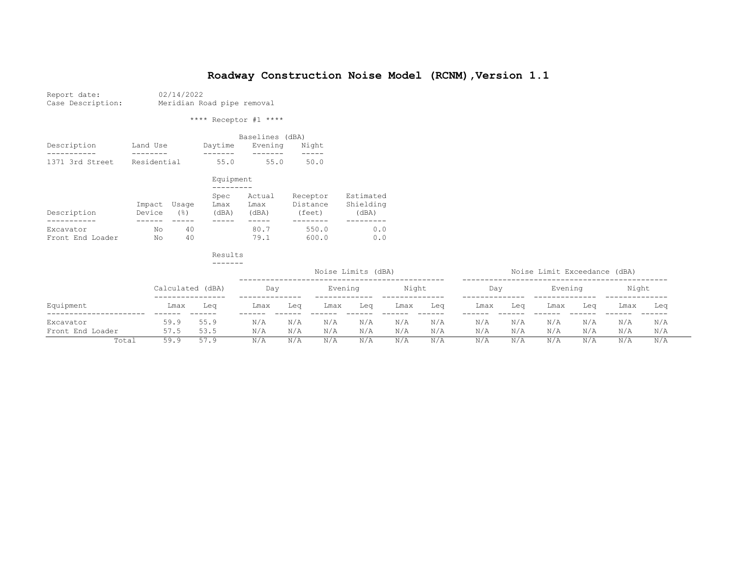| Report date:      | 02/14/2022                 |  |  |  |  |  |  |  |
|-------------------|----------------------------|--|--|--|--|--|--|--|
| Case Description: | Meridian Road pipe removal |  |  |  |  |  |  |  |

\*\*\*\* Receptor #1 \*\*\*\*

|                 |             |         | Baselines (dBA) |       |
|-----------------|-------------|---------|-----------------|-------|
| Description     | Land Use    | Daytime | Evenina         | Night |
|                 |             |         |                 |       |
| 1371 3rd Street | Residential | 55.0    | 55.0            | 50.0  |

|                               |                  |              | Equipment             |                         |                                |                                 |
|-------------------------------|------------------|--------------|-----------------------|-------------------------|--------------------------------|---------------------------------|
|                               |                  |              |                       |                         |                                |                                 |
| Description                   | Impact<br>Device | Usage<br>(응) | Spec<br>Lmax<br>(dBA) | Actual<br>Lmax<br>(dBA) | Receptor<br>Distance<br>(feet) | Estimated<br>Shielding<br>(dBA) |
|                               |                  |              |                       |                         |                                |                                 |
| Excavator<br>Front End Loader | Νo<br>No         | 40<br>40     |                       | 80.7<br>79.1            | 550.0<br>600.0                 | 0.0<br>0.0                      |

|                  |                  |      | Noise Limit Exceedance (dBA) |     |         |     |       |     |      |     |         |     |       |     |
|------------------|------------------|------|------------------------------|-----|---------|-----|-------|-----|------|-----|---------|-----|-------|-----|
|                  | Calculated (dBA) |      | Day                          |     | Evening |     | Night |     | Day  |     | Evening |     | Night |     |
| Equipment        | Lmax             | Lea  | Lmax                         | Lea | Lmax    | Lea | Lmax  | Lea | Lmax | Lea | Lmax    | Lea | Lmax  | Lea |
| Excavator        | 59.9             | 55.9 | N/A                          | N/A | N/A     | N/A | N/A   | N/A | N/A  | N/A | N/A     | N/A | N/A   | N/A |
| Front End Loader | 57.5             | 53.5 | N/A                          | N/A | N/A     | N/A | N/A   | N/A | N/A  | N/A | N/A     | N/A | N/A   | N/A |
| Total            | 59.9             | 57.9 | N/A                          | N/A | N/A     | N/A | N/A   | N/A | N/A  | N/A | N/A     | N/A | N/A   | N/A |